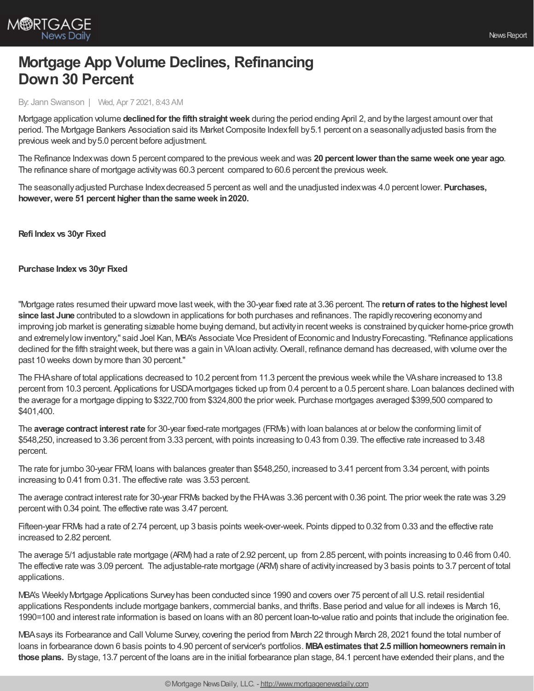

## **Mortgage App Volume Declines, Refinancing Down 30 Percent**

By: Jann Swanson | Wed, Apr 7 2021, 8:43 AM

Mortgage application volume **declined for the fifth straight week** during the period ending April 2, and by the largest amount over that period. The Mortgage Bankers Association said its Market Composite Index fell by 5.1 percent on a seasonally adjusted basis from the previous week and by5.0 percent before adjustment.

The Refinance Indexwas down 5 percent compared to the previous week and was **20 percent lower thanthe sameweek one year ago**. The refinance share of mortgage activitywas 60.3 percent compared to 60.6 percent the previous week.

The seasonallyadjusted Purchase Indexdecreased 5 percent as well and the unadjusted indexwas 4.0 percent lower. **Purchases, however,were 51 percent higher thanthe sameweek in2020.**

**Refi Index vs 30yr Fixed**

**Purchase Index vs 30yr Fixed**

"Mortgage rates resumed their upward move lastweek,with the 30-year fixed rate at 3.36 percent. The **returnofrates tothe highest level since last June** contributed to a slowdown in applications for both purchases and refinances. The rapidlyrecovering economyand improving job market is generating sizeable home buying demand, but activityin recentweeks is constrained byquicker home-price growth and extremelylowinventory," said Joel Kan, MBA's Associate Vice President of Economic and IndustryForecasting."Refinance applications declined for the fifth straight week, but there was a gain in VAIoan activity. Overall, refinance demand has decreased, with volume over the past 10 weeks down bymore than 30 percent."

The FHAshare of total applications decreased to 10.2 percent from 11.3 percent the previous weekwhile the VAshare increased to 13.8 percent from 10.3 percent. Applications for USDAmortgages ticked up from 0.4 percent to a 0.5 percent share. Loan balances declined with the average for a mortgage dipping to \$322,700 from \$324,800 the prior week. Purchase mortgages averaged \$399,500 compared to \$401,400.

The **average contract interestrate** for 30-year fixed-rate mortgages (FRMs) with loan balances at or belowthe conforming limit of \$548,250, increased to 3.36 percent from 3.33 percent, with points increasing to 0.43 from 0.39. The effective rate increased to 3.48 percent.

The rate for jumbo 30-year FRM, loans with balances greater than \$548,250, increased to 3.41 percent from 3.34 percent,with points increasing to 0.41 from 0.31. The effective rate was 3.53 percent.

The average contract interest rate for 30-year FRMs backed bythe FHAwas 3.36 percentwith 0.36 point. The prior week the rate was 3.29 percent with 0.34 point. The effective rate was 3.47 percent.

Fifteen-year FRMs had a rate of 2.74 percent, up 3 basis points week-over-week. Points dipped to 0.32 from 0.33 and the effective rate increased to 2.82 percent.

The average 5/1 adjustable rate mortgage (ARM) had a rate of 2.92 percent, up from 2.85 percent, with points increasing to 0.46 from 0.40. The effective rate was 3.09 percent. The adjustable-rate mortgage (ARM) share of activityincreased by3 basis points to 3.7 percent of total applications.

MBA's WeeklyMortgage Applications Surveyhas been conducted since 1990 and covers over 75 percent of all U.S. retail residential applications Respondents include mortgage bankers, commercial banks, and thrifts. Base period and value for all indexes is March 16, 1990=100 and interest rate information is based on loans with an 80 percent loan-to-value ratio and points that include the origination fee.

MBAsays its Forbearance and Call Volume Survey, covering the period from March 22 through March 28, 2021 found the total number of loans in forbearance down 6 basis points to 4.90 percent of servicer's portfolios. **MBAestimates that 2.5 millionhomeowners remainin those plans.** Bystage, 13.7 percent of the loans are in the initial forbearance plan stage, 84.1 percent have extended their plans, and the